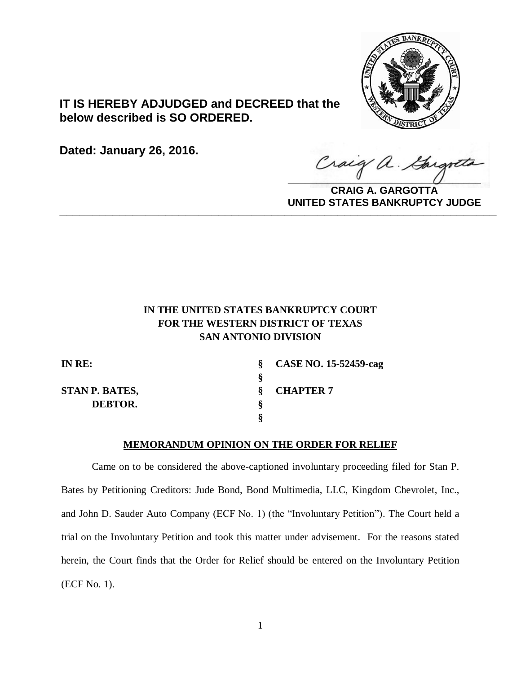

**IT IS HEREBY ADJUDGED and DECREED that the below described is SO ORDERED.**

**Dated: January 26, 2016.**

Gargott Craig a.

**CRAIG A. GARGOTTA UNITED STATES BANKRUPTCY JUDGE PRITED DIATED BARRACT TOT 00DCE** 

# **IN THE UNITED STATES BANKRUPTCY COURT FOR THE WESTERN DISTRICT OF TEXAS SAN ANTONIO DIVISION**

| IN RE:                | $\S$ CASE NO. 15-52459-cag |
|-----------------------|----------------------------|
|                       |                            |
| <b>STAN P. BATES,</b> | <b>CHAPTER 7</b>           |
| DEBTOR.               |                            |
|                       |                            |

## **MEMORANDUM OPINION ON THE ORDER FOR RELIEF**

Came on to be considered the above-captioned involuntary proceeding filed for Stan P. Bates by Petitioning Creditors: Jude Bond, Bond Multimedia, LLC, Kingdom Chevrolet, Inc., and John D. Sauder Auto Company (ECF No. 1) (the "Involuntary Petition"). The Court held a trial on the Involuntary Petition and took this matter under advisement. For the reasons stated herein, the Court finds that the Order for Relief should be entered on the Involuntary Petition (ECF No. 1).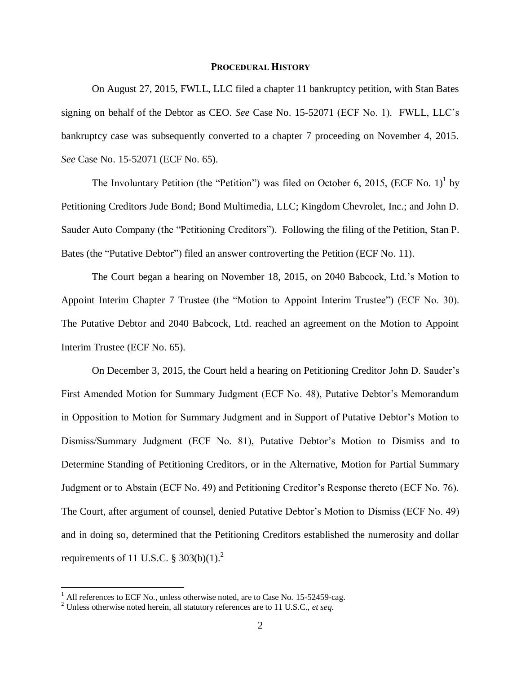### **PROCEDURAL HISTORY**

On August 27, 2015, FWLL, LLC filed a chapter 11 bankruptcy petition, with Stan Bates signing on behalf of the Debtor as CEO. *See* Case No. 15-52071 (ECF No. 1). FWLL, LLC's bankruptcy case was subsequently converted to a chapter 7 proceeding on November 4, 2015. *See* Case No. 15-52071 (ECF No. 65).

The Involuntary Petition (the "Petition") was filed on October 6, 2015, (ECF No. 1)<sup>1</sup> by Petitioning Creditors Jude Bond; Bond Multimedia, LLC; Kingdom Chevrolet, Inc.; and John D. Sauder Auto Company (the "Petitioning Creditors"). Following the filing of the Petition, Stan P. Bates (the "Putative Debtor") filed an answer controverting the Petition (ECF No. 11).

The Court began a hearing on November 18, 2015, on 2040 Babcock, Ltd.'s Motion to Appoint Interim Chapter 7 Trustee (the "Motion to Appoint Interim Trustee") (ECF No. 30). The Putative Debtor and 2040 Babcock, Ltd. reached an agreement on the Motion to Appoint Interim Trustee (ECF No. 65).

On December 3, 2015, the Court held a hearing on Petitioning Creditor John D. Sauder's First Amended Motion for Summary Judgment (ECF No. 48), Putative Debtor's Memorandum in Opposition to Motion for Summary Judgment and in Support of Putative Debtor's Motion to Dismiss/Summary Judgment (ECF No. 81), Putative Debtor's Motion to Dismiss and to Determine Standing of Petitioning Creditors, or in the Alternative, Motion for Partial Summary Judgment or to Abstain (ECF No. 49) and Petitioning Creditor's Response thereto (ECF No. 76). The Court, after argument of counsel, denied Putative Debtor's Motion to Dismiss (ECF No. 49) and in doing so, determined that the Petitioning Creditors established the numerosity and dollar requirements of 11 U.S.C.  $\S 303(b)(1)$ .<sup>2</sup>

 $\overline{a}$ 

 $1$  All references to ECF No., unless otherwise noted, are to Case No. 15-52459-cag.

<sup>2</sup> Unless otherwise noted herein, all statutory references are to 11 U.S.C., *et seq*.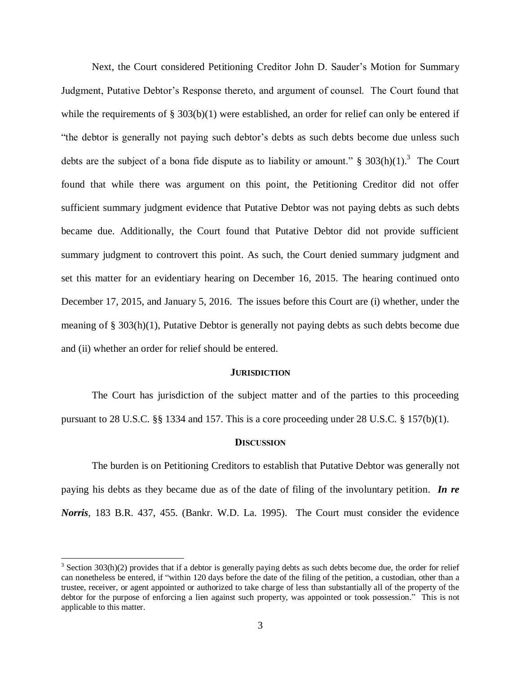Next, the Court considered Petitioning Creditor John D. Sauder's Motion for Summary Judgment, Putative Debtor's Response thereto, and argument of counsel. The Court found that while the requirements of  $\S 303(b)(1)$  were established, an order for relief can only be entered if "the debtor is generally not paying such debtor's debts as such debts become due unless such debts are the subject of a bona fide dispute as to liability or amount."  $\S$  303(h)(1).<sup>3</sup> The Court found that while there was argument on this point, the Petitioning Creditor did not offer sufficient summary judgment evidence that Putative Debtor was not paying debts as such debts became due. Additionally, the Court found that Putative Debtor did not provide sufficient summary judgment to controvert this point. As such, the Court denied summary judgment and set this matter for an evidentiary hearing on December 16, 2015. The hearing continued onto December 17, 2015, and January 5, 2016. The issues before this Court are (i) whether, under the meaning of § 303(h)(1), Putative Debtor is generally not paying debts as such debts become due and (ii) whether an order for relief should be entered.

#### **JURISDICTION**

The Court has jurisdiction of the subject matter and of the parties to this proceeding pursuant to 28 U.S.C.  $\S$  1334 and 157. This is a core proceeding under 28 U.S.C.  $\S$  157(b)(1).

#### **DISCUSSION**

The burden is on Petitioning Creditors to establish that Putative Debtor was generally not paying his debts as they became due as of the date of filing of the involuntary petition. *In re Norris*, 183 B.R. 437, 455. (Bankr. W.D. La. 1995). The Court must consider the evidence

 $\overline{\phantom{a}}$ 

 $3$  Section 303(h)(2) provides that if a debtor is generally paying debts as such debts become due, the order for relief can nonetheless be entered, if "within 120 days before the date of the filing of the petition, a custodian, other than a trustee, receiver, or agent appointed or authorized to take charge of less than substantially all of the property of the debtor for the purpose of enforcing a lien against such property, was appointed or took possession." This is not applicable to this matter.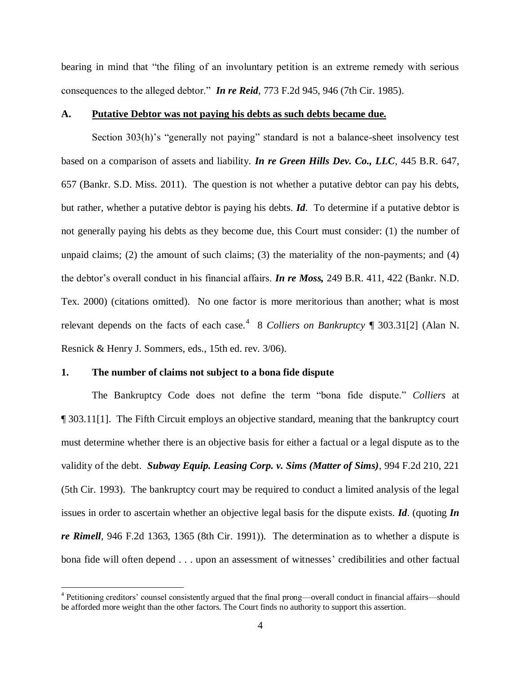bearing in mind that "the filing of an involuntary petition is an extreme remedy with serious consequences to the alleged debtor." *In re Reid*, 773 F.2d 945, 946 (7th Cir. 1985).

#### **A. Putative Debtor was not paying his debts as such debts became due.**

Section 303(h)'s "generally not paying" standard is not a balance-sheet insolvency test based on a comparison of assets and liability. *In re Green Hills Dev. Co., LLC*, 445 B.R. 647, 657 (Bankr. S.D. Miss. 2011). The question is not whether a putative debtor can pay his debts, but rather, whether a putative debtor is paying his debts. *Id*. To determine if a putative debtor is not generally paying his debts as they become due, this Court must consider: (1) the number of unpaid claims; (2) the amount of such claims; (3) the materiality of the non-payments; and (4) the debtor's overall conduct in his financial affairs. *In re Moss,* 249 B.R. 411, 422 (Bankr. N.D. Tex. 2000) (citations omitted). No one factor is more meritorious than another; what is most relevant depends on the facts of each case.<sup>4</sup> 8 *Colliers on Bankruptcy* [ 303.31[2] (Alan N. Resnick & Henry J. Sommers, eds., 15th ed. rev. 3/06).

#### **1. The number of claims not subject to a bona fide dispute**

 $\overline{a}$ 

The Bankruptcy Code does not define the term "bona fide dispute." *Colliers* at ¶ 303.11[1]. The Fifth Circuit employs an objective standard, meaning that the bankruptcy court must determine whether there is an objective basis for either a factual or a legal dispute as to the validity of the debt. *Subway Equip. Leasing Corp. v. Sims (Matter of Sims)*, 994 F.2d 210, 221 (5th Cir. 1993). The bankruptcy court may be required to conduct a limited analysis of the legal issues in order to ascertain whether an objective legal basis for the dispute exists. *Id*. (quoting *In re Rimell*, 946 F.2d 1363, 1365 (8th Cir. 1991)). The determination as to whether a dispute is bona fide will often depend . . . upon an assessment of witnesses' credibilities and other factual

<sup>&</sup>lt;sup>4</sup> Petitioning creditors' counsel consistently argued that the final prong—overall conduct in financial affairs—should be afforded more weight than the other factors. The Court finds no authority to support this assertion.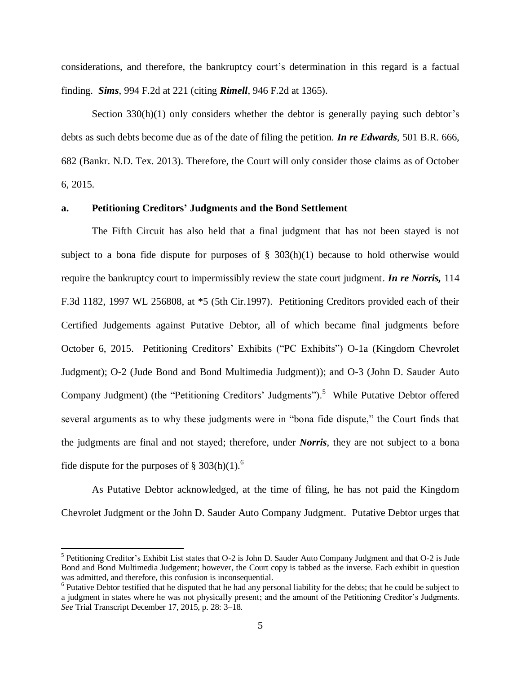considerations, and therefore, the bankruptcy court's determination in this regard is a factual finding. *Sims*, 994 F.2d at 221 (citing *Rimell*, 946 F.2d at 1365).

Section  $330(h)(1)$  only considers whether the debtor is generally paying such debtor's debts as such debts become due as of the date of filing the petition. *In re Edwards*, 501 B.R. 666, 682 (Bankr. N.D. Tex. 2013). Therefore, the Court will only consider those claims as of October 6, 2015.

#### **a. Petitioning Creditors' Judgments and the Bond Settlement**

The Fifth Circuit has also held that a final judgment that has not been stayed is not subject to a bona fide dispute for purposes of  $\S$  303(h)(1) because to hold otherwise would require the bankruptcy court to impermissibly review the state court judgment. *In re Norris,* 114 F.3d 1182, 1997 WL 256808, at \*5 (5th Cir.1997). Petitioning Creditors provided each of their Certified Judgements against Putative Debtor, all of which became final judgments before October 6, 2015. Petitioning Creditors' Exhibits ("PC Exhibits") O-1a (Kingdom Chevrolet Judgment); O-2 (Jude Bond and Bond Multimedia Judgment)); and O-3 (John D. Sauder Auto Company Judgment) (the "Petitioning Creditors' Judgments").<sup>5</sup> While Putative Debtor offered several arguments as to why these judgments were in "bona fide dispute," the Court finds that the judgments are final and not stayed; therefore, under *Norris*, they are not subject to a bona fide dispute for the purposes of  $\S 303(h)(1)$ .<sup>6</sup>

As Putative Debtor acknowledged, at the time of filing, he has not paid the Kingdom Chevrolet Judgment or the John D. Sauder Auto Company Judgment. Putative Debtor urges that

 $\overline{\phantom{a}}$ 

<sup>&</sup>lt;sup>5</sup> Petitioning Creditor's Exhibit List states that O-2 is John D. Sauder Auto Company Judgment and that O-2 is Jude Bond and Bond Multimedia Judgement; however, the Court copy is tabbed as the inverse. Each exhibit in question was admitted, and therefore, this confusion is inconsequential.

 $6$  Putative Debtor testified that he disputed that he had any personal liability for the debts; that he could be subject to a judgment in states where he was not physically present; and the amount of the Petitioning Creditor's Judgments. *See* Trial Transcript December 17, 2015, p. 28: 3–18.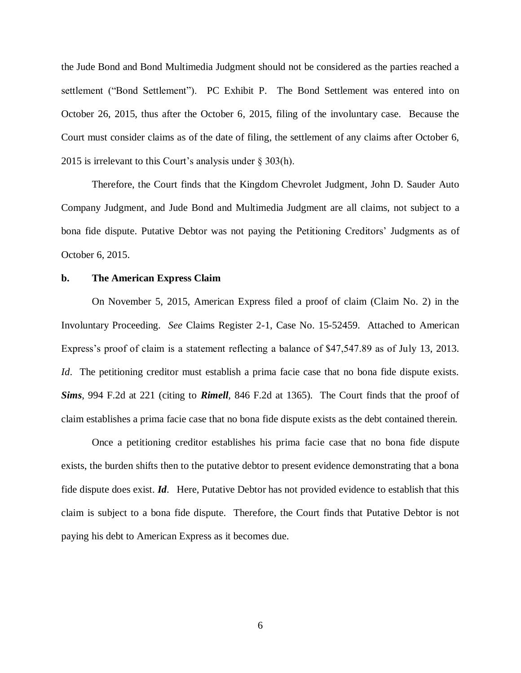the Jude Bond and Bond Multimedia Judgment should not be considered as the parties reached a settlement ("Bond Settlement"). PC Exhibit P. The Bond Settlement was entered into on October 26, 2015, thus after the October 6, 2015, filing of the involuntary case. Because the Court must consider claims as of the date of filing, the settlement of any claims after October 6, 2015 is irrelevant to this Court's analysis under § 303(h).

Therefore, the Court finds that the Kingdom Chevrolet Judgment, John D. Sauder Auto Company Judgment, and Jude Bond and Multimedia Judgment are all claims, not subject to a bona fide dispute. Putative Debtor was not paying the Petitioning Creditors' Judgments as of October 6, 2015.

#### **b. The American Express Claim**

On November 5, 2015, American Express filed a proof of claim (Claim No. 2) in the Involuntary Proceeding. *See* Claims Register 2-1, Case No. 15-52459. Attached to American Express's proof of claim is a statement reflecting a balance of \$47,547.89 as of July 13, 2013. *Id*. The petitioning creditor must establish a prima facie case that no bona fide dispute exists. *Sims*, 994 F.2d at 221 (citing to *Rimell*, 846 F.2d at 1365). The Court finds that the proof of claim establishes a prima facie case that no bona fide dispute exists as the debt contained therein.

Once a petitioning creditor establishes his prima facie case that no bona fide dispute exists, the burden shifts then to the putative debtor to present evidence demonstrating that a bona fide dispute does exist. *Id*. Here, Putative Debtor has not provided evidence to establish that this claim is subject to a bona fide dispute. Therefore, the Court finds that Putative Debtor is not paying his debt to American Express as it becomes due.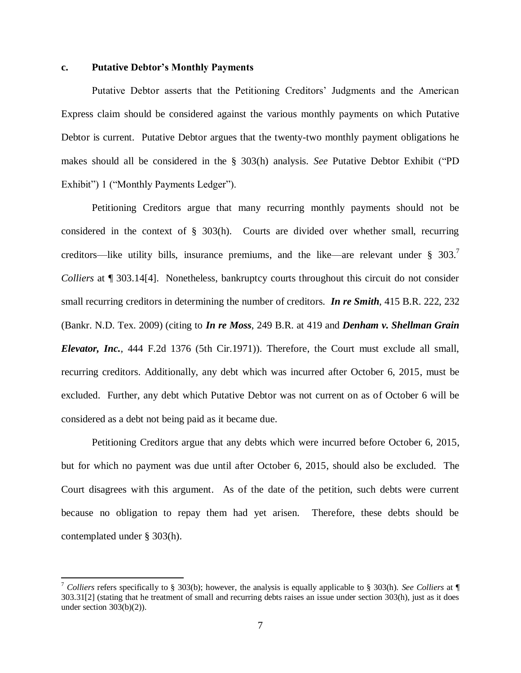#### **c. Putative Debtor's Monthly Payments**

 $\overline{a}$ 

Putative Debtor asserts that the Petitioning Creditors' Judgments and the American Express claim should be considered against the various monthly payments on which Putative Debtor is current. Putative Debtor argues that the twenty-two monthly payment obligations he makes should all be considered in the § 303(h) analysis. *See* Putative Debtor Exhibit ("PD Exhibit") 1 ("Monthly Payments Ledger").

Petitioning Creditors argue that many recurring monthly payments should not be considered in the context of § 303(h). Courts are divided over whether small, recurring creditors—like utility bills, insurance premiums, and the like—are relevant under  $\S 303$ .<sup>7</sup> *Colliers* at  $\P$  303.14[4]. Nonetheless, bankruptcy courts throughout this circuit do not consider small recurring creditors in determining the number of creditors. *In re Smith*, 415 B.R. 222, 232 (Bankr. N.D. Tex. 2009) (citing to *In re Moss*, 249 B.R. at 419 and *Denham v. Shellman Grain Elevator, Inc.*, 444 F.2d 1376 (5th Cir.1971)). Therefore, the Court must exclude all small, recurring creditors. Additionally, any debt which was incurred after October 6, 2015, must be excluded. Further, any debt which Putative Debtor was not current on as of October 6 will be considered as a debt not being paid as it became due.

Petitioning Creditors argue that any debts which were incurred before October 6, 2015, but for which no payment was due until after October 6, 2015, should also be excluded. The Court disagrees with this argument. As of the date of the petition, such debts were current because no obligation to repay them had yet arisen. Therefore, these debts should be contemplated under § 303(h).

<sup>7</sup> *Colliers* refers specifically to § 303(b); however, the analysis is equally applicable to § 303(h). *See Colliers* at ¶ 303.31[2] (stating that he treatment of small and recurring debts raises an issue under section 303(h), just as it does under section 303(b)(2)).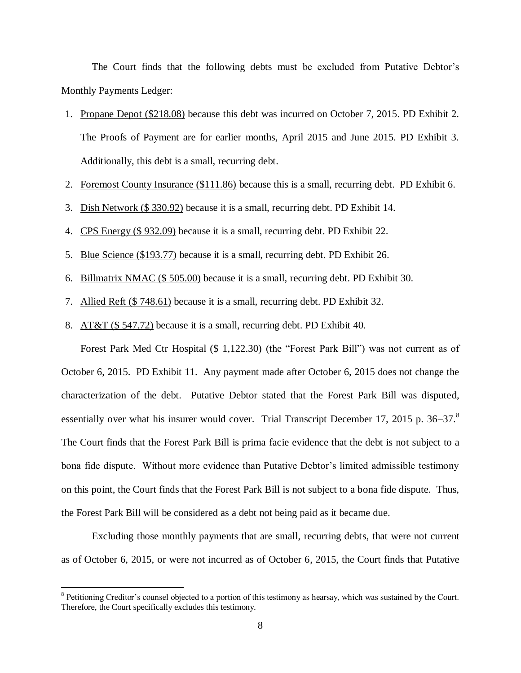The Court finds that the following debts must be excluded from Putative Debtor's Monthly Payments Ledger:

- 1. Propane Depot (\$218.08) because this debt was incurred on October 7, 2015. PD Exhibit 2. The Proofs of Payment are for earlier months, April 2015 and June 2015. PD Exhibit 3. Additionally, this debt is a small, recurring debt.
- 2. Foremost County Insurance (\$111.86) because this is a small, recurring debt. PD Exhibit 6.
- 3. Dish Network (\$ 330.92) because it is a small, recurring debt. PD Exhibit 14.
- 4. CPS Energy (\$ 932.09) because it is a small, recurring debt. PD Exhibit 22.
- 5. Blue Science (\$193.77) because it is a small, recurring debt. PD Exhibit 26.
- 6. Billmatrix NMAC (\$ 505.00) because it is a small, recurring debt. PD Exhibit 30.
- 7. Allied Reft (\$ 748.61) because it is a small, recurring debt. PD Exhibit 32.
- 8. AT&T (\$ 547.72) because it is a small, recurring debt. PD Exhibit 40.

Forest Park Med Ctr Hospital (\$ 1,122.30) (the "Forest Park Bill") was not current as of October 6, 2015. PD Exhibit 11. Any payment made after October 6, 2015 does not change the characterization of the debt. Putative Debtor stated that the Forest Park Bill was disputed, essentially over what his insurer would cover. Trial Transcript December 17, 2015 p. 36–37.<sup>8</sup> The Court finds that the Forest Park Bill is prima facie evidence that the debt is not subject to a bona fide dispute. Without more evidence than Putative Debtor's limited admissible testimony on this point, the Court finds that the Forest Park Bill is not subject to a bona fide dispute. Thus, the Forest Park Bill will be considered as a debt not being paid as it became due.

Excluding those monthly payments that are small, recurring debts, that were not current as of October 6, 2015, or were not incurred as of October 6, 2015, the Court finds that Putative

 $\overline{a}$ 

<sup>&</sup>lt;sup>8</sup> Petitioning Creditor's counsel objected to a portion of this testimony as hearsay, which was sustained by the Court. Therefore, the Court specifically excludes this testimony.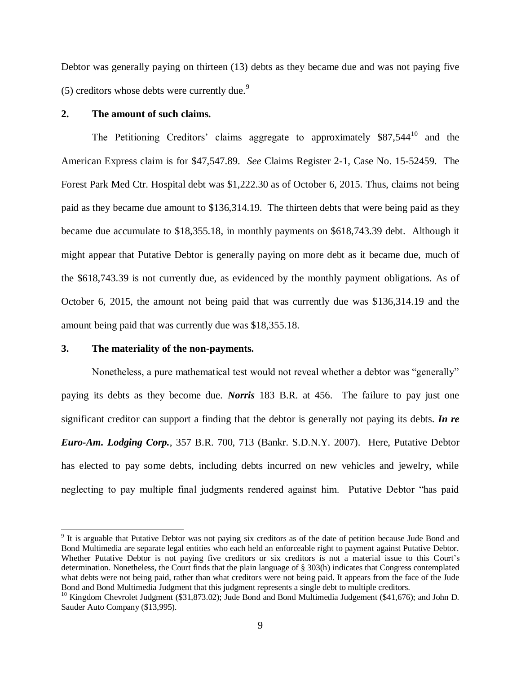Debtor was generally paying on thirteen (13) debts as they became due and was not paying five (5) creditors whose debts were currently due.<sup>9</sup>

## **2. The amount of such claims.**

The Petitioning Creditors' claims aggregate to approximately \$87,544<sup>10</sup> and the American Express claim is for \$47,547.89. *See* Claims Register 2-1, Case No. 15-52459. The Forest Park Med Ctr. Hospital debt was \$1,222.30 as of October 6, 2015. Thus, claims not being paid as they became due amount to \$136,314.19. The thirteen debts that were being paid as they became due accumulate to \$18,355.18, in monthly payments on \$618,743.39 debt. Although it might appear that Putative Debtor is generally paying on more debt as it became due, much of the \$618,743.39 is not currently due, as evidenced by the monthly payment obligations. As of October 6, 2015, the amount not being paid that was currently due was \$136,314.19 and the amount being paid that was currently due was \$18,355.18.

### **3. The materiality of the non-payments.**

 $\overline{a}$ 

Nonetheless, a pure mathematical test would not reveal whether a debtor was "generally" paying its debts as they become due. *Norris* 183 B.R. at 456. The failure to pay just one significant creditor can support a finding that the debtor is generally not paying its debts. *In re Euro-Am. Lodging Corp.*, 357 B.R. 700, 713 (Bankr. S.D.N.Y. 2007). Here, Putative Debtor has elected to pay some debts, including debts incurred on new vehicles and jewelry, while neglecting to pay multiple final judgments rendered against him. Putative Debtor "has paid

<sup>&</sup>lt;sup>9</sup> It is arguable that Putative Debtor was not paying six creditors as of the date of petition because Jude Bond and Bond Multimedia are separate legal entities who each held an enforceable right to payment against Putative Debtor. Whether Putative Debtor is not paying five creditors or six creditors is not a material issue to this Court's determination. Nonetheless, the Court finds that the plain language of § 303(h) indicates that Congress contemplated what debts were not being paid, rather than what creditors were not being paid. It appears from the face of the Jude Bond and Bond Multimedia Judgment that this judgment represents a single debt to multiple creditors.

<sup>&</sup>lt;sup>10</sup> Kingdom Chevrolet Judgment (\$31,873.02); Jude Bond and Bond Multimedia Judgement (\$41,676); and John D. Sauder Auto Company (\$13,995).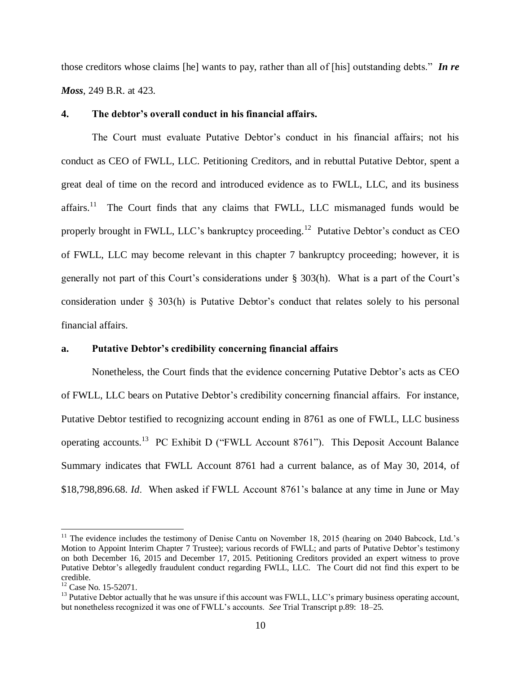those creditors whose claims [he] wants to pay, rather than all of [his] outstanding debts." *In re Moss*, 249 B.R. at 423.

#### **4. The debtor's overall conduct in his financial affairs.**

The Court must evaluate Putative Debtor's conduct in his financial affairs; not his conduct as CEO of FWLL, LLC. Petitioning Creditors, and in rebuttal Putative Debtor, spent a great deal of time on the record and introduced evidence as to FWLL, LLC, and its business affairs.<sup>11</sup> The Court finds that any claims that FWLL, LLC mismanaged funds would be properly brought in FWLL, LLC's bankruptcy proceeding.<sup>12</sup> Putative Debtor's conduct as CEO of FWLL, LLC may become relevant in this chapter 7 bankruptcy proceeding; however, it is generally not part of this Court's considerations under § 303(h). What is a part of the Court's consideration under § 303(h) is Putative Debtor's conduct that relates solely to his personal financial affairs.

### **a. Putative Debtor's credibility concerning financial affairs**

Nonetheless, the Court finds that the evidence concerning Putative Debtor's acts as CEO of FWLL, LLC bears on Putative Debtor's credibility concerning financial affairs. For instance, Putative Debtor testified to recognizing account ending in 8761 as one of FWLL, LLC business operating accounts.<sup>13</sup> PC Exhibit D ("FWLL Account 8761"). This Deposit Account Balance Summary indicates that FWLL Account 8761 had a current balance, as of May 30, 2014, of \$18,798,896.68. *Id*. When asked if FWLL Account 8761's balance at any time in June or May

 $\overline{a}$ 

<sup>&</sup>lt;sup>11</sup> The evidence includes the testimony of Denise Cantu on November 18, 2015 (hearing on 2040 Babcock, Ltd.'s Motion to Appoint Interim Chapter 7 Trustee); various records of FWLL; and parts of Putative Debtor's testimony on both December 16, 2015 and December 17, 2015. Petitioning Creditors provided an expert witness to prove Putative Debtor's allegedly fraudulent conduct regarding FWLL, LLC. The Court did not find this expert to be credible.

<sup>&</sup>lt;sup>12</sup> Case No. 15-52071.

<sup>&</sup>lt;sup>13</sup> Putative Debtor actually that he was unsure if this account was FWLL, LLC's primary business operating account, but nonetheless recognized it was one of FWLL's accounts. *See* Trial Transcript p.89: 18–25.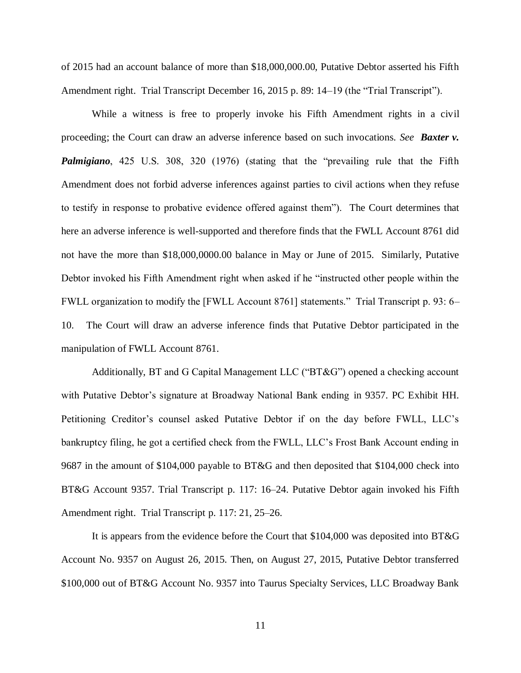of 2015 had an account balance of more than \$18,000,000.00, Putative Debtor asserted his Fifth Amendment right. Trial Transcript December 16, 2015 p. 89: 14–19 (the "Trial Transcript").

While a witness is free to properly invoke his Fifth Amendment rights in a civil proceeding; the Court can draw an adverse inference based on such invocations. *See Baxter v. Palmigiano*, 425 U.S. 308, 320 (1976) (stating that the "prevailing rule that the Fifth Amendment does not forbid adverse inferences against parties to civil actions when they refuse to testify in response to probative evidence offered against them"). The Court determines that here an adverse inference is well-supported and therefore finds that the FWLL Account 8761 did not have the more than \$18,000,0000.00 balance in May or June of 2015. Similarly, Putative Debtor invoked his Fifth Amendment right when asked if he "instructed other people within the FWLL organization to modify the [FWLL Account 8761] statements." Trial Transcript p. 93: 6– 10. The Court will draw an adverse inference finds that Putative Debtor participated in the manipulation of FWLL Account 8761.

Additionally, BT and G Capital Management LLC ("BT&G") opened a checking account with Putative Debtor's signature at Broadway National Bank ending in 9357. PC Exhibit HH. Petitioning Creditor's counsel asked Putative Debtor if on the day before FWLL, LLC's bankruptcy filing, he got a certified check from the FWLL, LLC's Frost Bank Account ending in 9687 in the amount of \$104,000 payable to BT&G and then deposited that \$104,000 check into BT&G Account 9357. Trial Transcript p. 117: 16–24. Putative Debtor again invoked his Fifth Amendment right. Trial Transcript p. 117: 21, 25–26.

It is appears from the evidence before the Court that \$104,000 was deposited into BT&G Account No. 9357 on August 26, 2015. Then, on August 27, 2015, Putative Debtor transferred \$100,000 out of BT&G Account No. 9357 into Taurus Specialty Services, LLC Broadway Bank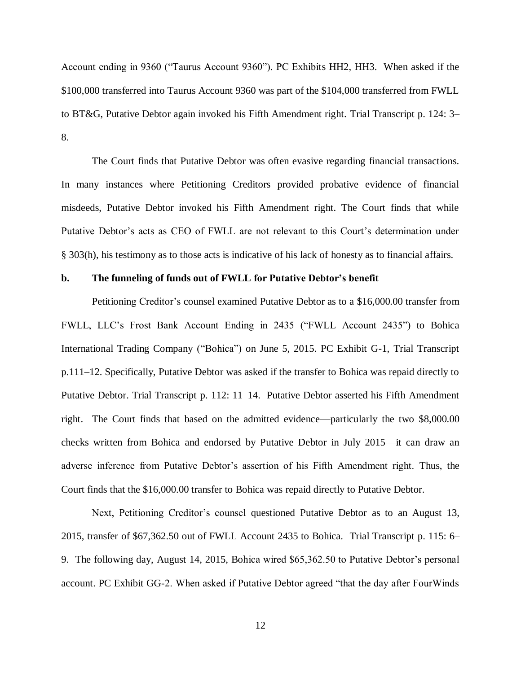Account ending in 9360 ("Taurus Account 9360"). PC Exhibits HH2, HH3. When asked if the \$100,000 transferred into Taurus Account 9360 was part of the \$104,000 transferred from FWLL to BT&G, Putative Debtor again invoked his Fifth Amendment right. Trial Transcript p. 124: 3– 8.

The Court finds that Putative Debtor was often evasive regarding financial transactions. In many instances where Petitioning Creditors provided probative evidence of financial misdeeds, Putative Debtor invoked his Fifth Amendment right. The Court finds that while Putative Debtor's acts as CEO of FWLL are not relevant to this Court's determination under § 303(h), his testimony as to those acts is indicative of his lack of honesty as to financial affairs.

#### **b. The funneling of funds out of FWLL for Putative Debtor's benefit**

Petitioning Creditor's counsel examined Putative Debtor as to a \$16,000.00 transfer from FWLL, LLC's Frost Bank Account Ending in 2435 ("FWLL Account 2435") to Bohica International Trading Company ("Bohica") on June 5, 2015. PC Exhibit G-1, Trial Transcript p.111–12. Specifically, Putative Debtor was asked if the transfer to Bohica was repaid directly to Putative Debtor. Trial Transcript p. 112: 11–14. Putative Debtor asserted his Fifth Amendment right. The Court finds that based on the admitted evidence—particularly the two \$8,000.00 checks written from Bohica and endorsed by Putative Debtor in July 2015—it can draw an adverse inference from Putative Debtor's assertion of his Fifth Amendment right. Thus, the Court finds that the \$16,000.00 transfer to Bohica was repaid directly to Putative Debtor.

Next, Petitioning Creditor's counsel questioned Putative Debtor as to an August 13, 2015, transfer of \$67,362.50 out of FWLL Account 2435 to Bohica. Trial Transcript p. 115: 6– 9. The following day, August 14, 2015, Bohica wired \$65,362.50 to Putative Debtor's personal account. PC Exhibit GG-2. When asked if Putative Debtor agreed "that the day after FourWinds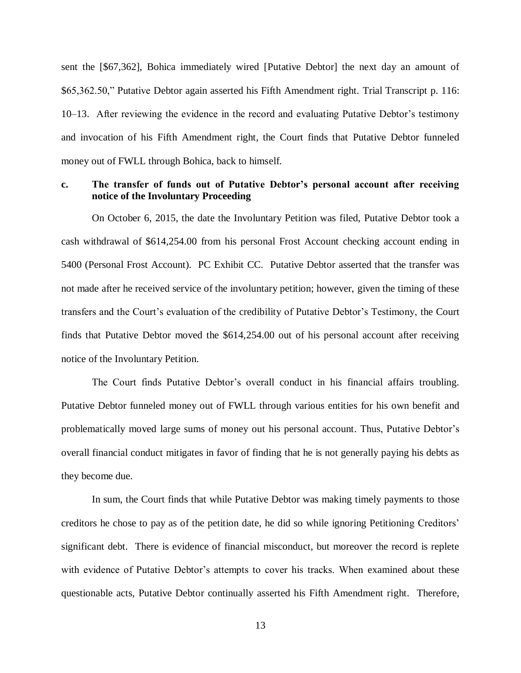sent the [\$67,362], Bohica immediately wired [Putative Debtor] the next day an amount of \$65,362.50," Putative Debtor again asserted his Fifth Amendment right. Trial Transcript p. 116: 10–13. After reviewing the evidence in the record and evaluating Putative Debtor's testimony and invocation of his Fifth Amendment right, the Court finds that Putative Debtor funneled money out of FWLL through Bohica, back to himself.

## **c. The transfer of funds out of Putative Debtor's personal account after receiving notice of the Involuntary Proceeding**

On October 6, 2015, the date the Involuntary Petition was filed, Putative Debtor took a cash withdrawal of \$614,254.00 from his personal Frost Account checking account ending in 5400 (Personal Frost Account). PC Exhibit CC. Putative Debtor asserted that the transfer was not made after he received service of the involuntary petition; however, given the timing of these transfers and the Court's evaluation of the credibility of Putative Debtor's Testimony, the Court finds that Putative Debtor moved the \$614,254.00 out of his personal account after receiving notice of the Involuntary Petition.

The Court finds Putative Debtor's overall conduct in his financial affairs troubling. Putative Debtor funneled money out of FWLL through various entities for his own benefit and problematically moved large sums of money out his personal account. Thus, Putative Debtor's overall financial conduct mitigates in favor of finding that he is not generally paying his debts as they become due.

In sum, the Court finds that while Putative Debtor was making timely payments to those creditors he chose to pay as of the petition date, he did so while ignoring Petitioning Creditors' significant debt. There is evidence of financial misconduct, but moreover the record is replete with evidence of Putative Debtor's attempts to cover his tracks. When examined about these questionable acts, Putative Debtor continually asserted his Fifth Amendment right. Therefore,